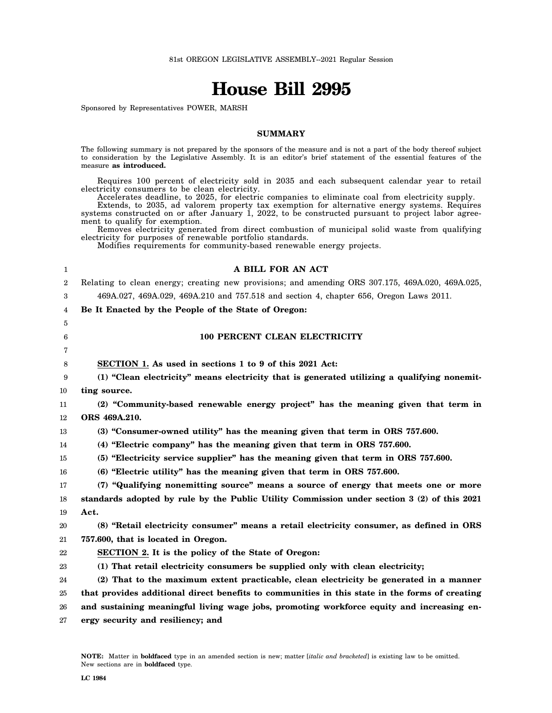# **House Bill 2995**

Sponsored by Representatives POWER, MARSH

# **SUMMARY**

The following summary is not prepared by the sponsors of the measure and is not a part of the body thereof subject to consideration by the Legislative Assembly. It is an editor's brief statement of the essential features of the measure **as introduced.**

Requires 100 percent of electricity sold in 2035 and each subsequent calendar year to retail electricity consumers to be clean electricity.

Accelerates deadline, to 2025, for electric companies to eliminate coal from electricity supply.

Extends, to 2035, ad valorem property tax exemption for alternative energy systems. Requires systems constructed on or after January 1, 2022, to be constructed pursuant to project labor agreement to qualify for exemption.

Removes electricity generated from direct combustion of municipal solid waste from qualifying electricity for purposes of renewable portfolio standards.

**A BILL FOR AN ACT**

Modifies requirements for community-based renewable energy projects.

| 1              | A BILL FOR AN ACT                                                                                |
|----------------|--------------------------------------------------------------------------------------------------|
| $\overline{2}$ | Relating to clean energy; creating new provisions; and amending ORS 307.175, 469A.020, 469A.025, |
| 3              | 469A.027, 469A.029, 469A.210 and 757.518 and section 4, chapter 656, Oregon Laws 2011.           |
| 4              | Be It Enacted by the People of the State of Oregon:                                              |
| 5              |                                                                                                  |
| 6              | 100 PERCENT CLEAN ELECTRICITY                                                                    |
| 7              |                                                                                                  |
| 8              | SECTION 1. As used in sections 1 to 9 of this 2021 Act:                                          |
| 9              | (1) "Clean electricity" means electricity that is generated utilizing a qualifying nonemit-      |
| 10             | ting source.                                                                                     |
| 11             | (2) "Community-based renewable energy project" has the meaning given that term in                |
| 12             | ORS 469A.210.                                                                                    |
| 13             | (3) "Consumer-owned utility" has the meaning given that term in ORS 757.600.                     |
| 14             | (4) "Electric company" has the meaning given that term in ORS 757.600.                           |
| 15             | (5) "Electricity service supplier" has the meaning given that term in ORS 757.600.               |
| 16             | (6) "Electric utility" has the meaning given that term in ORS 757.600.                           |
| 17             | (7) "Qualifying nonemitting source" means a source of energy that meets one or more              |
| 18             | standards adopted by rule by the Public Utility Commission under section 3 (2) of this 2021      |
| 19             | Act.                                                                                             |
| 20             | (8) "Retail electricity consumer" means a retail electricity consumer, as defined in ORS         |
| 21             | 757.600, that is located in Oregon.                                                              |
| 22             | SECTION 2. It is the policy of the State of Oregon:                                              |
| 23             | (1) That retail electricity consumers be supplied only with clean electricity;                   |
| 24             | (2) That to the maximum extent practicable, clean electricity be generated in a manner           |
| 25             | that provides additional direct benefits to communities in this state in the forms of creating   |
| 26             | and sustaining meaningful living wage jobs, promoting workforce equity and increasing en-        |
| 27             | ergy security and resiliency; and                                                                |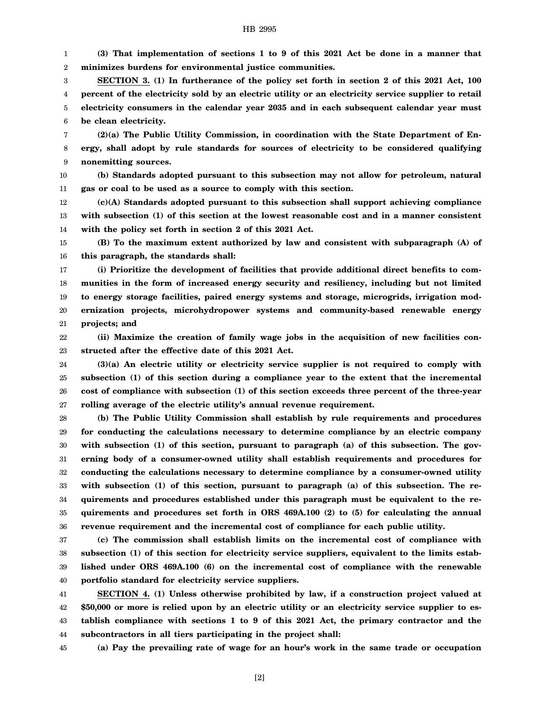1 2 **(3) That implementation of sections 1 to 9 of this 2021 Act be done in a manner that minimizes burdens for environmental justice communities.**

3 4 5 6 **SECTION 3. (1) In furtherance of the policy set forth in section 2 of this 2021 Act, 100 percent of the electricity sold by an electric utility or an electricity service supplier to retail electricity consumers in the calendar year 2035 and in each subsequent calendar year must be clean electricity.**

7 8 9 **(2)(a) The Public Utility Commission, in coordination with the State Department of Energy, shall adopt by rule standards for sources of electricity to be considered qualifying nonemitting sources.**

10 11 **(b) Standards adopted pursuant to this subsection may not allow for petroleum, natural gas or coal to be used as a source to comply with this section.**

12 13 14 **(c)(A) Standards adopted pursuant to this subsection shall support achieving compliance with subsection (1) of this section at the lowest reasonable cost and in a manner consistent with the policy set forth in section 2 of this 2021 Act.**

15 16 **(B) To the maximum extent authorized by law and consistent with subparagraph (A) of this paragraph, the standards shall:**

17 18 19 20 21 **(i) Prioritize the development of facilities that provide additional direct benefits to communities in the form of increased energy security and resiliency, including but not limited to energy storage facilities, paired energy systems and storage, microgrids, irrigation modernization projects, microhydropower systems and community-based renewable energy projects; and**

22 23 **(ii) Maximize the creation of family wage jobs in the acquisition of new facilities constructed after the effective date of this 2021 Act.**

24 25 26 27 **(3)(a) An electric utility or electricity service supplier is not required to comply with subsection (1) of this section during a compliance year to the extent that the incremental cost of compliance with subsection (1) of this section exceeds three percent of the three-year rolling average of the electric utility's annual revenue requirement.**

28 29 30 31 32 33 34 35 36 **(b) The Public Utility Commission shall establish by rule requirements and procedures for conducting the calculations necessary to determine compliance by an electric company** with subsection (1) of this section, pursuant to paragraph (a) of this subsection. The gov**erning body of a consumer-owned utility shall establish requirements and procedures for conducting the calculations necessary to determine compliance by a consumer-owned utility** with subsection (1) of this section, pursuant to paragraph (a) of this subsection. The re**quirements and procedures established under this paragraph must be equivalent to the requirements and procedures set forth in ORS 469A.100 (2) to (5) for calculating the annual revenue requirement and the incremental cost of compliance for each public utility.**

37 38 39 40 **(c) The commission shall establish limits on the incremental cost of compliance with subsection (1) of this section for electricity service suppliers, equivalent to the limits established under ORS 469A.100 (6) on the incremental cost of compliance with the renewable portfolio standard for electricity service suppliers.**

41 42 43 44 **SECTION 4. (1) Unless otherwise prohibited by law, if a construction project valued at \$50,000 or more is relied upon by an electric utility or an electricity service supplier to establish compliance with sections 1 to 9 of this 2021 Act, the primary contractor and the subcontractors in all tiers participating in the project shall:**

45 **(a) Pay the prevailing rate of wage for an hour's work in the same trade or occupation**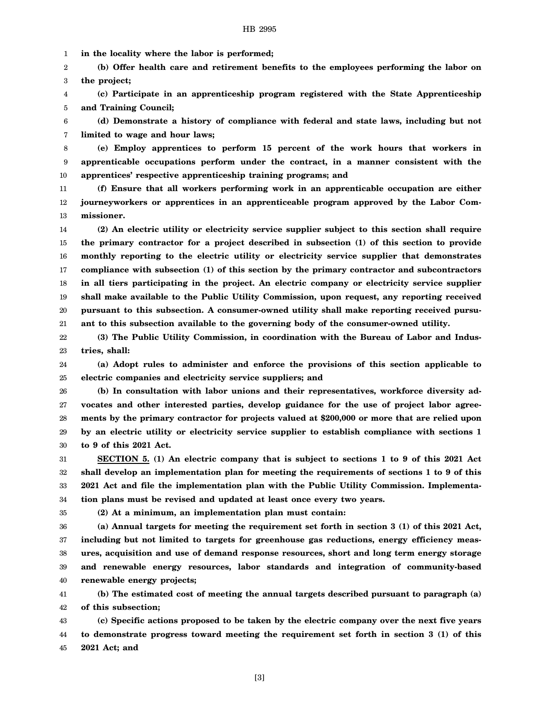1 **in the locality where the labor is performed;**

2 3 **(b) Offer health care and retirement benefits to the employees performing the labor on the project;**

4 5 **(c) Participate in an apprenticeship program registered with the State Apprenticeship and Training Council;**

6 7 **(d) Demonstrate a history of compliance with federal and state laws, including but not limited to wage and hour laws;**

8 9 10 **(e) Employ apprentices to perform 15 percent of the work hours that workers in apprenticable occupations perform under the contract, in a manner consistent with the apprentices' respective apprenticeship training programs; and**

11 12 13 **(f) Ensure that all workers performing work in an apprenticable occupation are either journeyworkers or apprentices in an apprenticeable program approved by the Labor Commissioner.**

14 15 16 17 18 19 20 21 **(2) An electric utility or electricity service supplier subject to this section shall require the primary contractor for a project described in subsection (1) of this section to provide monthly reporting to the electric utility or electricity service supplier that demonstrates compliance with subsection (1) of this section by the primary contractor and subcontractors in all tiers participating in the project. An electric company or electricity service supplier shall make available to the Public Utility Commission, upon request, any reporting received pursuant to this subsection. A consumer-owned utility shall make reporting received pursuant to this subsection available to the governing body of the consumer-owned utility.**

22 23 **(3) The Public Utility Commission, in coordination with the Bureau of Labor and Industries, shall:**

24 25 **(a) Adopt rules to administer and enforce the provisions of this section applicable to electric companies and electricity service suppliers; and**

26 27 28 29 30 **(b) In consultation with labor unions and their representatives, workforce diversity advocates and other interested parties, develop guidance for the use of project labor agreements by the primary contractor for projects valued at \$200,000 or more that are relied upon by an electric utility or electricity service supplier to establish compliance with sections 1 to 9 of this 2021 Act.**

31 32 33 34 **SECTION 5. (1) An electric company that is subject to sections 1 to 9 of this 2021 Act shall develop an implementation plan for meeting the requirements of sections 1 to 9 of this 2021 Act and file the implementation plan with the Public Utility Commission. Implementation plans must be revised and updated at least once every two years.**

35

**(2) At a minimum, an implementation plan must contain:**

36 37 38 39 40 **(a) Annual targets for meeting the requirement set forth in section 3 (1) of this 2021 Act, including but not limited to targets for greenhouse gas reductions, energy efficiency measures, acquisition and use of demand response resources, short and long term energy storage and renewable energy resources, labor standards and integration of community-based renewable energy projects;**

41 42 **(b) The estimated cost of meeting the annual targets described pursuant to paragraph (a) of this subsection;**

43 44 45 **(c) Specific actions proposed to be taken by the electric company over the next five years to demonstrate progress toward meeting the requirement set forth in section 3 (1) of this 2021 Act; and**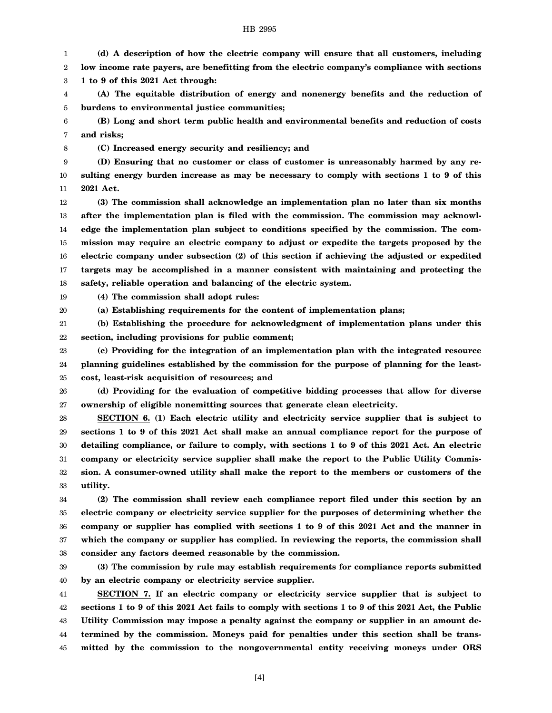1 2 **(d) A description of how the electric company will ensure that all customers, including low income rate payers, are benefitting from the electric company's compliance with sections**

3 **1 to 9 of this 2021 Act through:**

4 5 **(A) The equitable distribution of energy and nonenergy benefits and the reduction of burdens to environmental justice communities;**

6 7 **(B) Long and short term public health and environmental benefits and reduction of costs and risks;**

8

**(C) Increased energy security and resiliency; and**

9 10 11 **(D) Ensuring that no customer or class of customer is unreasonably harmed by any resulting energy burden increase as may be necessary to comply with sections 1 to 9 of this 2021 Act.**

12 13 14 15 16 17 18 **(3) The commission shall acknowledge an implementation plan no later than six months after the implementation plan is filed with the commission. The commission may acknowledge the implementation plan subject to conditions specified by the commission. The commission may require an electric company to adjust or expedite the targets proposed by the electric company under subsection (2) of this section if achieving the adjusted or expedited targets may be accomplished in a manner consistent with maintaining and protecting the safety, reliable operation and balancing of the electric system.**

19 **(4) The commission shall adopt rules:**

20 **(a) Establishing requirements for the content of implementation plans;**

21 22 **(b) Establishing the procedure for acknowledgment of implementation plans under this section, including provisions for public comment;**

23 24 25 **(c) Providing for the integration of an implementation plan with the integrated resource planning guidelines established by the commission for the purpose of planning for the leastcost, least-risk acquisition of resources; and**

26 27 **(d) Providing for the evaluation of competitive bidding processes that allow for diverse ownership of eligible nonemitting sources that generate clean electricity.**

28 29 30 31 32 33 **SECTION 6. (1) Each electric utility and electricity service supplier that is subject to sections 1 to 9 of this 2021 Act shall make an annual compliance report for the purpose of detailing compliance, or failure to comply, with sections 1 to 9 of this 2021 Act. An electric company or electricity service supplier shall make the report to the Public Utility Commission. A consumer-owned utility shall make the report to the members or customers of the utility.**

34 35 36 37 38 **(2) The commission shall review each compliance report filed under this section by an electric company or electricity service supplier for the purposes of determining whether the company or supplier has complied with sections 1 to 9 of this 2021 Act and the manner in which the company or supplier has complied. In reviewing the reports, the commission shall consider any factors deemed reasonable by the commission.**

39 40 **(3) The commission by rule may establish requirements for compliance reports submitted by an electric company or electricity service supplier.**

41 42 43 44 45 **SECTION 7. If an electric company or electricity service supplier that is subject to sections 1 to 9 of this 2021 Act fails to comply with sections 1 to 9 of this 2021 Act, the Public Utility Commission may impose a penalty against the company or supplier in an amount determined by the commission. Moneys paid for penalties under this section shall be transmitted by the commission to the nongovernmental entity receiving moneys under ORS**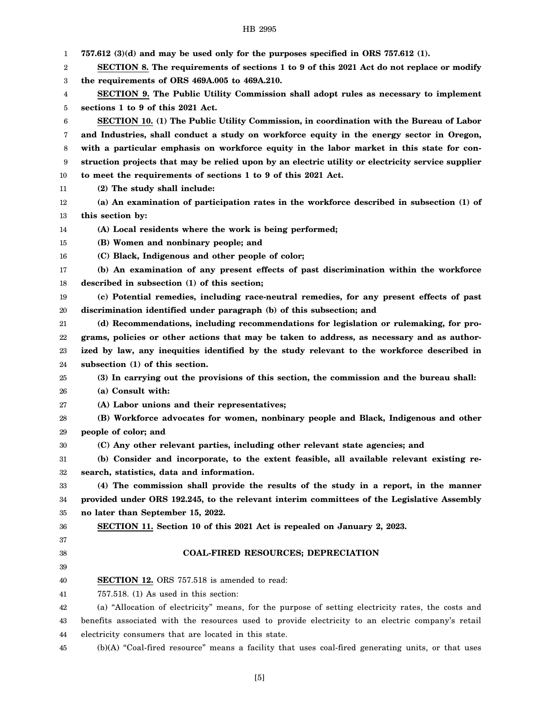|  | HB 2995 |  |  |
|--|---------|--|--|
|--|---------|--|--|

| 1      | $757.612$ (3)(d) and may be used only for the purposes specified in ORS 757.612 (1).               |
|--------|----------------------------------------------------------------------------------------------------|
| 2      | SECTION 8. The requirements of sections 1 to 9 of this 2021 Act do not replace or modify           |
| 3      | the requirements of ORS 469A.005 to 469A.210.                                                      |
| 4      | SECTION 9. The Public Utility Commission shall adopt rules as necessary to implement               |
| 5      | sections 1 to 9 of this 2021 Act.                                                                  |
| 6      | SECTION 10. (1) The Public Utility Commission, in coordination with the Bureau of Labor            |
| 7      | and Industries, shall conduct a study on workforce equity in the energy sector in Oregon,          |
| 8      | with a particular emphasis on workforce equity in the labor market in this state for con-          |
| 9      | struction projects that may be relied upon by an electric utility or electricity service supplier  |
| 10     | to meet the requirements of sections 1 to 9 of this 2021 Act.                                      |
| 11     | (2) The study shall include:                                                                       |
| 12     | (a) An examination of participation rates in the workforce described in subsection (1) of          |
| 13     | this section by:                                                                                   |
| 14     | (A) Local residents where the work is being performed;                                             |
| 15     | (B) Women and nonbinary people; and                                                                |
| 16     | (C) Black, Indigenous and other people of color;                                                   |
| 17     | (b) An examination of any present effects of past discrimination within the workforce              |
| 18     | described in subsection (1) of this section;                                                       |
| 19     | (c) Potential remedies, including race-neutral remedies, for any present effects of past           |
| 20     | discrimination identified under paragraph (b) of this subsection; and                              |
| 21     | (d) Recommendations, including recommendations for legislation or rulemaking, for pro-             |
| 22     | grams, policies or other actions that may be taken to address, as necessary and as author-         |
| 23     | ized by law, any inequities identified by the study relevant to the workforce described in         |
| 24     | subsection (1) of this section.                                                                    |
| 25     | (3) In carrying out the provisions of this section, the commission and the bureau shall:           |
| 26     | (a) Consult with:                                                                                  |
| 27     | (A) Labor unions and their representatives;                                                        |
| 28     | (B) Workforce advocates for women, nonbinary people and Black, Indigenous and other                |
| 29     | people of color; and                                                                               |
| $30\,$ | (C) Any other relevant parties, including other relevant state agencies; and                       |
| 31     | (b) Consider and incorporate, to the extent feasible, all available relevant existing re-          |
| 32     | search, statistics, data and information.                                                          |
| 33     | (4) The commission shall provide the results of the study in a report, in the manner               |
| 34     | provided under ORS 192.245, to the relevant interim committees of the Legislative Assembly         |
| 35     | no later than September 15, 2022.                                                                  |
| 36     | SECTION 11. Section 10 of this 2021 Act is repealed on January 2, 2023.                            |
| 37     |                                                                                                    |
| 38     | <b>COAL-FIRED RESOURCES; DEPRECIATION</b>                                                          |
| 39     |                                                                                                    |
| 40     | <b>SECTION 12.</b> ORS 757.518 is amended to read:                                                 |
| 41     | $757.518$ . (1) As used in this section:                                                           |
| 42     | (a) "Allocation of electricity" means, for the purpose of setting electricity rates, the costs and |
| 43     | benefits associated with the resources used to provide electricity to an electric company's retail |
| 44     | electricity consumers that are located in this state.                                              |
| 45     | (b)(A) "Coal-fired resource" means a facility that uses coal-fired generating units, or that uses  |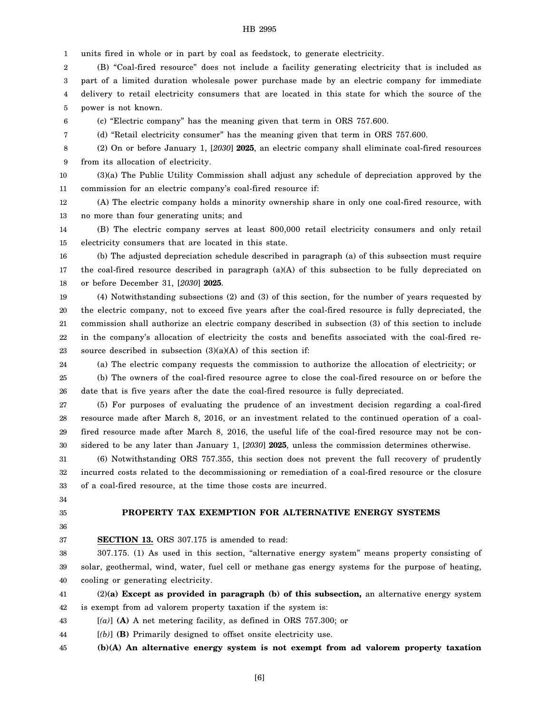1 units fired in whole or in part by coal as feedstock, to generate electricity.

2 3 4 5 (B) "Coal-fired resource" does not include a facility generating electricity that is included as part of a limited duration wholesale power purchase made by an electric company for immediate delivery to retail electricity consumers that are located in this state for which the source of the power is not known.

6 (c) "Electric company" has the meaning given that term in ORS 757.600.

(d) "Retail electricity consumer" has the meaning given that term in ORS 757.600.

8 9 (2) On or before January 1, [*2030*] **2025**, an electric company shall eliminate coal-fired resources from its allocation of electricity.

10 11 (3)(a) The Public Utility Commission shall adjust any schedule of depreciation approved by the commission for an electric company's coal-fired resource if:

12 13 (A) The electric company holds a minority ownership share in only one coal-fired resource, with no more than four generating units; and

14 15 (B) The electric company serves at least 800,000 retail electricity consumers and only retail electricity consumers that are located in this state.

16 17 18 (b) The adjusted depreciation schedule described in paragraph (a) of this subsection must require the coal-fired resource described in paragraph (a)(A) of this subsection to be fully depreciated on or before December 31, [*2030*] **2025**.

19 20 21 22 23 (4) Notwithstanding subsections (2) and (3) of this section, for the number of years requested by the electric company, not to exceed five years after the coal-fired resource is fully depreciated, the commission shall authorize an electric company described in subsection (3) of this section to include in the company's allocation of electricity the costs and benefits associated with the coal-fired resource described in subsection  $(3)(a)(A)$  of this section if:

24 (a) The electric company requests the commission to authorize the allocation of electricity; or

25 26 (b) The owners of the coal-fired resource agree to close the coal-fired resource on or before the date that is five years after the date the coal-fired resource is fully depreciated.

27 28 29 30 (5) For purposes of evaluating the prudence of an investment decision regarding a coal-fired resource made after March 8, 2016, or an investment related to the continued operation of a coalfired resource made after March 8, 2016, the useful life of the coal-fired resource may not be considered to be any later than January 1, [*2030*] **2025**, unless the commission determines otherwise.

31 32 33 (6) Notwithstanding ORS 757.355, this section does not prevent the full recovery of prudently incurred costs related to the decommissioning or remediation of a coal-fired resource or the closure of a coal-fired resource, at the time those costs are incurred.

34 35

7

# **PROPERTY TAX EXEMPTION FOR ALTERNATIVE ENERGY SYSTEMS**

36 37

# **SECTION 13.** ORS 307.175 is amended to read:

38 39 40 307.175. (1) As used in this section, "alternative energy system" means property consisting of solar, geothermal, wind, water, fuel cell or methane gas energy systems for the purpose of heating, cooling or generating electricity.

41 42 (2)**(a) Except as provided in paragraph (b) of this subsection,** an alternative energy system is exempt from ad valorem property taxation if the system is:

43 [*(a)*] **(A)** A net metering facility, as defined in ORS 757.300; or

44 [*(b)*] **(B)** Primarily designed to offset onsite electricity use.

45 **(b)(A) An alternative energy system is not exempt from ad valorem property taxation**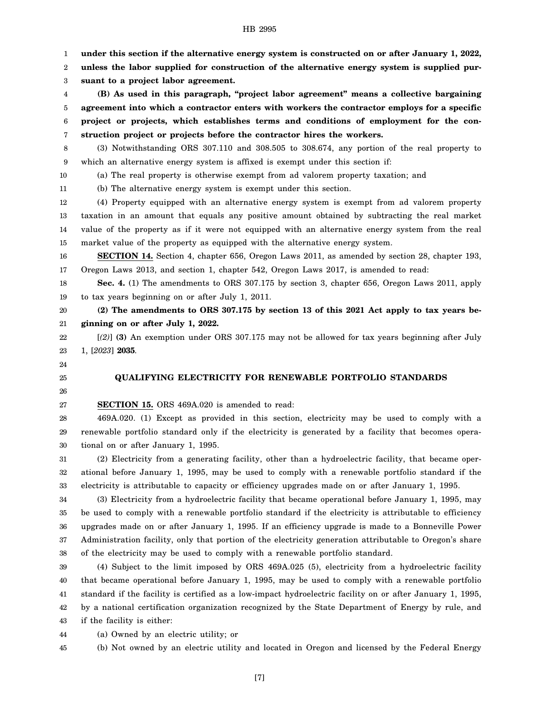1 2 3 4 5 6 7 8 9 10 11 12 13 14 15 16 17 18 19 20 21 22 23 24 25 26 27 28 29 30 31 32 33 34 35 36 37 38 39 40 41 42 43 44 45 **under this section if the alternative energy system is constructed on or after January 1, 2022, unless the labor supplied for construction of the alternative energy system is supplied pursuant to a project labor agreement. (B) As used in this paragraph, "project labor agreement" means a collective bargaining agreement into which a contractor enters with workers the contractor employs for a specific project or projects, which establishes terms and conditions of employment for the construction project or projects before the contractor hires the workers.** (3) Notwithstanding ORS 307.110 and 308.505 to 308.674, any portion of the real property to which an alternative energy system is affixed is exempt under this section if: (a) The real property is otherwise exempt from ad valorem property taxation; and (b) The alternative energy system is exempt under this section. (4) Property equipped with an alternative energy system is exempt from ad valorem property taxation in an amount that equals any positive amount obtained by subtracting the real market value of the property as if it were not equipped with an alternative energy system from the real market value of the property as equipped with the alternative energy system. **SECTION 14.** Section 4, chapter 656, Oregon Laws 2011, as amended by section 28, chapter 193, Oregon Laws 2013, and section 1, chapter 542, Oregon Laws 2017, is amended to read: **Sec. 4.** (1) The amendments to ORS 307.175 by section 3, chapter 656, Oregon Laws 2011, apply to tax years beginning on or after July 1, 2011. **(2) The amendments to ORS 307.175 by section 13 of this 2021 Act apply to tax years beginning on or after July 1, 2022.** [*(2)*] **(3)** An exemption under ORS 307.175 may not be allowed for tax years beginning after July 1, [*2023*] **2035**. **QUALIFYING ELECTRICITY FOR RENEWABLE PORTFOLIO STANDARDS SECTION 15.** ORS 469A.020 is amended to read: 469A.020. (1) Except as provided in this section, electricity may be used to comply with a renewable portfolio standard only if the electricity is generated by a facility that becomes operational on or after January 1, 1995. (2) Electricity from a generating facility, other than a hydroelectric facility, that became operational before January 1, 1995, may be used to comply with a renewable portfolio standard if the electricity is attributable to capacity or efficiency upgrades made on or after January 1, 1995. (3) Electricity from a hydroelectric facility that became operational before January 1, 1995, may be used to comply with a renewable portfolio standard if the electricity is attributable to efficiency upgrades made on or after January 1, 1995. If an efficiency upgrade is made to a Bonneville Power Administration facility, only that portion of the electricity generation attributable to Oregon's share of the electricity may be used to comply with a renewable portfolio standard. (4) Subject to the limit imposed by ORS 469A.025 (5), electricity from a hydroelectric facility that became operational before January 1, 1995, may be used to comply with a renewable portfolio standard if the facility is certified as a low-impact hydroelectric facility on or after January 1, 1995, by a national certification organization recognized by the State Department of Energy by rule, and if the facility is either: (a) Owned by an electric utility; or (b) Not owned by an electric utility and located in Oregon and licensed by the Federal Energy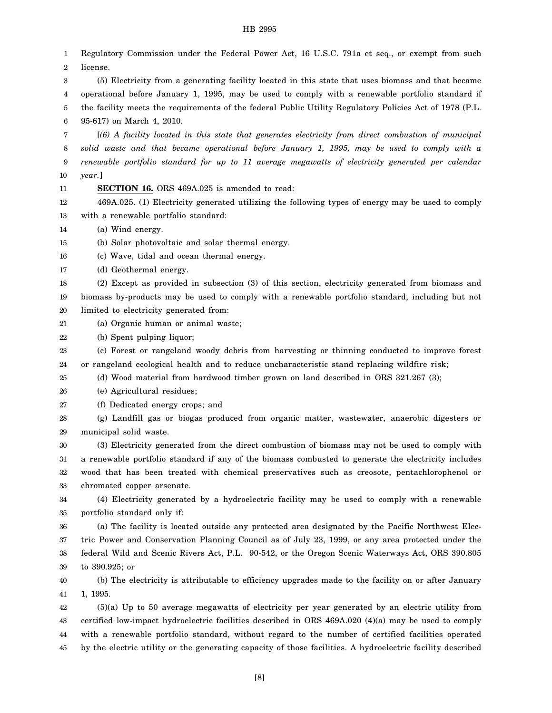1 2 3 4 5 6 7 8 9 10 11 12 13 14 15 16 17 18 19 20 21 22 23 24 25 26 27 28 29 30 31 32 33 34 35 36 37 38 39 40 41 42 43 44 45 Regulatory Commission under the Federal Power Act, 16 U.S.C. 791a et seq., or exempt from such license. (5) Electricity from a generating facility located in this state that uses biomass and that became operational before January 1, 1995, may be used to comply with a renewable portfolio standard if the facility meets the requirements of the federal Public Utility Regulatory Policies Act of 1978 (P.L. 95-617) on March 4, 2010. [*(6) A facility located in this state that generates electricity from direct combustion of municipal solid waste and that became operational before January 1, 1995, may be used to comply with a renewable portfolio standard for up to 11 average megawatts of electricity generated per calendar year.*] **SECTION 16.** ORS 469A.025 is amended to read: 469A.025. (1) Electricity generated utilizing the following types of energy may be used to comply with a renewable portfolio standard: (a) Wind energy. (b) Solar photovoltaic and solar thermal energy. (c) Wave, tidal and ocean thermal energy. (d) Geothermal energy. (2) Except as provided in subsection (3) of this section, electricity generated from biomass and biomass by-products may be used to comply with a renewable portfolio standard, including but not limited to electricity generated from: (a) Organic human or animal waste; (b) Spent pulping liquor; (c) Forest or rangeland woody debris from harvesting or thinning conducted to improve forest or rangeland ecological health and to reduce uncharacteristic stand replacing wildfire risk; (d) Wood material from hardwood timber grown on land described in ORS 321.267 (3); (e) Agricultural residues; (f) Dedicated energy crops; and (g) Landfill gas or biogas produced from organic matter, wastewater, anaerobic digesters or municipal solid waste. (3) Electricity generated from the direct combustion of biomass may not be used to comply with a renewable portfolio standard if any of the biomass combusted to generate the electricity includes wood that has been treated with chemical preservatives such as creosote, pentachlorophenol or chromated copper arsenate. (4) Electricity generated by a hydroelectric facility may be used to comply with a renewable portfolio standard only if: (a) The facility is located outside any protected area designated by the Pacific Northwest Electric Power and Conservation Planning Council as of July 23, 1999, or any area protected under the federal Wild and Scenic Rivers Act, P.L. 90-542, or the Oregon Scenic Waterways Act, ORS 390.805 to 390.925; or (b) The electricity is attributable to efficiency upgrades made to the facility on or after January 1, 1995. (5)(a) Up to 50 average megawatts of electricity per year generated by an electric utility from certified low-impact hydroelectric facilities described in ORS 469A.020 (4)(a) may be used to comply with a renewable portfolio standard, without regard to the number of certified facilities operated by the electric utility or the generating capacity of those facilities. A hydroelectric facility described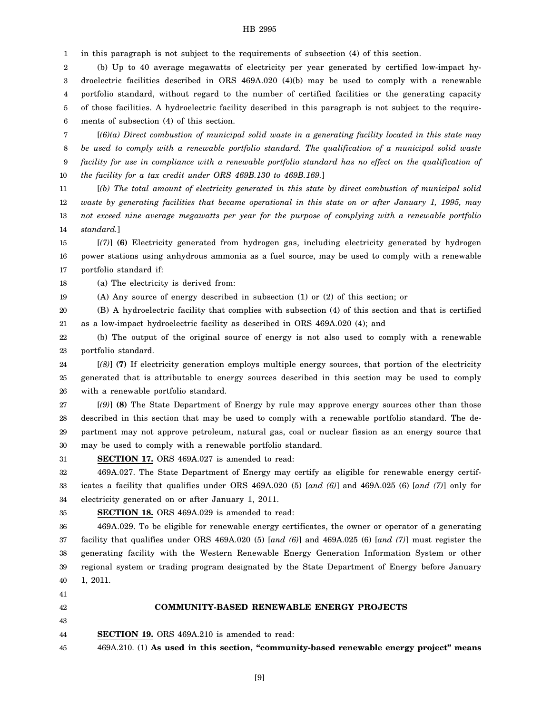1 in this paragraph is not subject to the requirements of subsection (4) of this section.

2 3 4 5 6 (b) Up to 40 average megawatts of electricity per year generated by certified low-impact hydroelectric facilities described in ORS 469A.020 (4)(b) may be used to comply with a renewable portfolio standard, without regard to the number of certified facilities or the generating capacity of those facilities. A hydroelectric facility described in this paragraph is not subject to the requirements of subsection (4) of this section.

7 8 9 10 [*(6)(a) Direct combustion of municipal solid waste in a generating facility located in this state may be used to comply with a renewable portfolio standard. The qualification of a municipal solid waste facility for use in compliance with a renewable portfolio standard has no effect on the qualification of the facility for a tax credit under ORS 469B.130 to 469B.169.*]

11 12 13 14 [*(b) The total amount of electricity generated in this state by direct combustion of municipal solid waste by generating facilities that became operational in this state on or after January 1, 1995, may not exceed nine average megawatts per year for the purpose of complying with a renewable portfolio standard.*]

15 16 17 [*(7)*] **(6)** Electricity generated from hydrogen gas, including electricity generated by hydrogen power stations using anhydrous ammonia as a fuel source, may be used to comply with a renewable portfolio standard if:

18 (a) The electricity is derived from:

19 (A) Any source of energy described in subsection (1) or (2) of this section; or

20 21 (B) A hydroelectric facility that complies with subsection (4) of this section and that is certified as a low-impact hydroelectric facility as described in ORS 469A.020 (4); and

22 23 (b) The output of the original source of energy is not also used to comply with a renewable portfolio standard.

24 25 26 [*(8)*] **(7)** If electricity generation employs multiple energy sources, that portion of the electricity generated that is attributable to energy sources described in this section may be used to comply with a renewable portfolio standard.

27 28 29 30 [*(9)*] **(8)** The State Department of Energy by rule may approve energy sources other than those described in this section that may be used to comply with a renewable portfolio standard. The department may not approve petroleum, natural gas, coal or nuclear fission as an energy source that may be used to comply with a renewable portfolio standard.

31 **SECTION 17.** ORS 469A.027 is amended to read:

32 33 34 469A.027. The State Department of Energy may certify as eligible for renewable energy certificates a facility that qualifies under ORS 469A.020 (5) [*and (6)*] and 469A.025 (6) [*and (7)*] only for electricity generated on or after January 1, 2011.

35 **SECTION 18.** ORS 469A.029 is amended to read:

36 37 38 39 40 469A.029. To be eligible for renewable energy certificates, the owner or operator of a generating facility that qualifies under ORS 469A.020 (5) [*and (6)*] and 469A.025 (6) [*and (7)*] must register the generating facility with the Western Renewable Energy Generation Information System or other regional system or trading program designated by the State Department of Energy before January 1, 2011.

41

42 43

# **COMMUNITY-BASED RENEWABLE ENERGY PROJECTS**

44 **SECTION 19.** ORS 469A.210 is amended to read:

45 469A.210. (1) **As used in this section, "community-based renewable energy project" means**